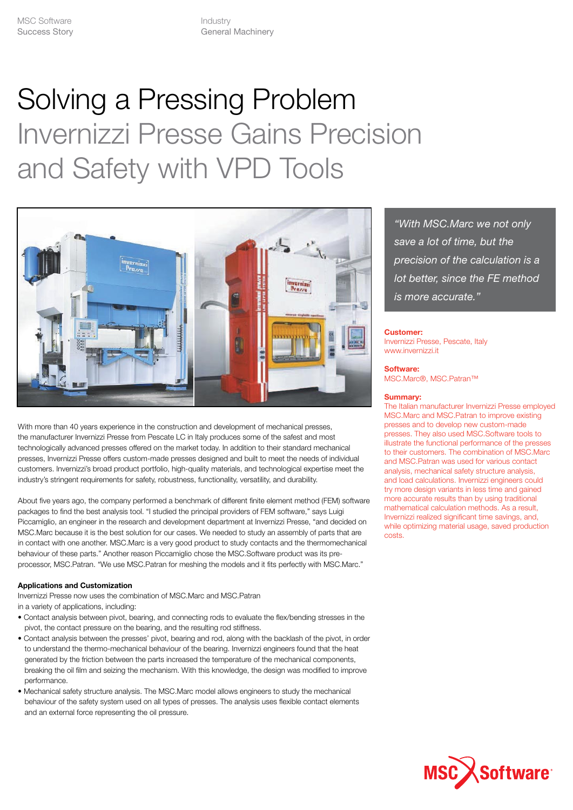# Solving a Pressing Problem Invernizzi Presse Gains Precision and Safety with VPD Tools



With more than 40 years experience in the construction and development of mechanical presses, the manufacturer Invernizzi Presse from Pescate LC in Italy produces some of the safest and most technologically advanced presses offered on the market today. In addition to their standard mechanical presses, Invernizzi Presse offers custom-made presses designed and built to meet the needs of individual customers. Invernizzi's broad product portfolio, high-quality materials, and technological expertise meet the industry's stringent requirements for safety, robustness, functionality, versatility, and durability.

About five years ago, the company performed a benchmark of different finite element method (FEM) software packages to find the best analysis tool. "I studied the principal providers of FEM software," says Luigi Piccamiglio, an engineer in the research and development department at Invernizzi Presse, "and decided on MSC.Marc because it is the best solution for our cases. We needed to study an assembly of parts that are in contact with one another. MSC.Marc is a very good product to study contacts and the thermomechanical behaviour of these parts." Another reason Piccamiglio chose the MSC.Software product was its preprocessor, MSC.Patran. "We use MSC.Patran for meshing the models and it fits perfectly with MSC.Marc."

## **Applications and Customization**

Invernizzi Presse now uses the combination of MSC.Marc and MSC.Patran in a variety of applications, including:

- Contact analysis between pivot, bearing, and connecting rods to evaluate the flex/bending stresses in the pivot, the contact pressure on the bearing, and the resulting rod stiffness.
- Contact analysis between the presses' pivot, bearing and rod, along with the backlash of the pivot, in order to understand the thermo-mechanical behaviour of the bearing. Invernizzi engineers found that the heat generated by the friction between the parts increased the temperature of the mechanical components, breaking the oil film and seizing the mechanism. With this knowledge, the design was modified to improve performance.
- Mechanical safety structure analysis. The MSC.Marc model allows engineers to study the mechanical behaviour of the safety system used on all types of presses. The analysis uses flexible contact elements and an external force representing the oil pressure.

*"With MSC.Marc we not only save a lot of time, but the precision of the calculation is a lot better, since the FE method is more accurate."*

### **Customer:**

Invernizzi Presse, Pescate, Italy www.invernizzi.it

#### **Software:**

MSC.Marc®, MSC.Patran™

### **Summary:**

The Italian manufacturer Invernizzi Presse employed MSC.Marc and MSC.Patran to improve existing presses and to develop new custom-made presses. They also used MSC.Software tools to illustrate the functional performance of the presses to their customers. The combination of MSC.Marc and MSC.Patran was used for various contact analysis, mechanical safety structure analysis, and load calculations. Invernizzi engineers could try more design variants in less time and gained more accurate results than by using traditional mathematical calculation methods. As a result, Invernizzi realized significant time savings, and, while optimizing material usage, saved production costs.